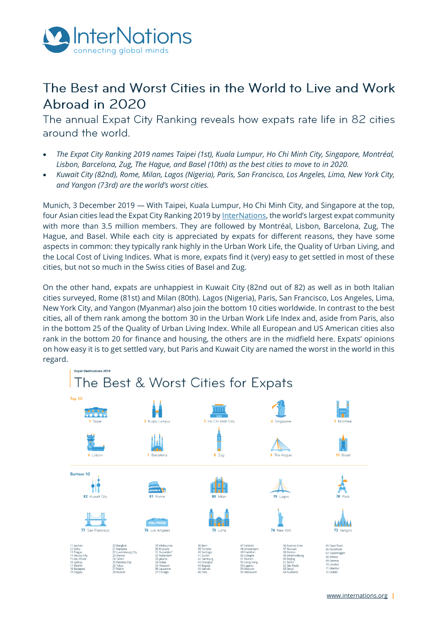

# The Best and Worst Cities in the World to Live and Work Abroad in 2020

The annual Expat City Ranking reveals how expats rate life in 82 cities around the world.

- *The Expat City Ranking 2019 names Taipei (1st), Kuala Lumpur, Ho Chi Minh City, Singapore, Montréal, Lisbon, Barcelona, Zug, The Hague, and Basel (10th) as the best cities to move to in 2020.*
- *Kuwait City (82nd), Rome, Milan, Lagos (Nigeria), Paris, San Francisco, Los Angeles, Lima, New York City, and Yangon (73rd) are the world's worst cities.*

Munich, 3 December 2019 — With Taipei, Kuala Lumpur, Ho Chi Minh City, and Singapore at the top, four Asian cities lead the Expat City Ranking 2019 b[y InterNations](https://www.internations.org/), the world's largest expat community with more than 3.5 million members. They are followed by Montréal, Lisbon, Barcelona, Zug, The Hague, and Basel. While each city is appreciated by expats for different reasons, they have some aspects in common: they typically rank highly in the Urban Work Life, the Quality of Urban Living, and the Local Cost of Living Indices. What is more, expats find it (very) easy to get settled in most of these cities, but not so much in the Swiss cities of Basel and Zug.

On the other hand, expats are unhappiest in Kuwait City (82nd out of 82) as well as in both Italian cities surveyed, Rome (81st) and Milan (80th). Lagos (Nigeria), Paris, San Francisco, Los Angeles, Lima, New York City, and Yangon (Myanmar) also join the bottom 10 cities worldwide. In contrast to the best cities, all of them rank among the bottom 30 in the Urban Work Life Index and, aside from Paris, also in the bottom 25 of the Quality of Urban Living Index. While all European and US American cities also rank in the bottom 20 for finance and housing, the others are in the midfield here. Expats' opinions on how easy it is to get settled vary, but Paris and Kuwait City are named the worst in the world in this regard.

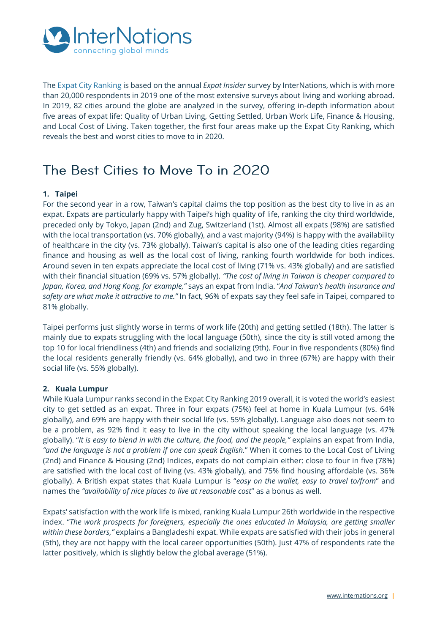

Th[e Expat City Ranking](https://www.internations.org/expat-insider/2019/the-best-and-worst-cities-for-expats-39894) is based on the annual *Expat Insider* survey by InterNations, which is with more than 20,000 respondents in 2019 one of the most extensive surveys about living and working abroad. In 2019, 82 cities around the globe are analyzed in the survey, offering in-depth information about five areas of expat life: Quality of Urban Living, Getting Settled, Urban Work Life, Finance & Housing, and Local Cost of Living. Taken together, the first four areas make up the Expat City Ranking, which reveals the best and worst cities to move to in 2020.

## The Best Cities to Move To in 2020

## **1. Taipei**

For the second year in a row, Taiwan's capital claims the top position as the best city to live in as an expat. Expats are particularly happy with Taipei's high quality of life, ranking the city third worldwide, preceded only by Tokyo, Japan (2nd) and Zug, Switzerland (1st). Almost all expats (98%) are satisfied with the local transportation (vs. 70% globally), and a vast majority (94%) is happy with the availability of healthcare in the city (vs. 73% globally). Taiwan's capital is also one of the leading cities regarding finance and housing as well as the local cost of living, ranking fourth worldwide for both indices. Around seven in ten expats appreciate the local cost of living (71% vs. 43% globally) and are satisfied with their financial situation (69% vs. 57% globally). *"The cost of living in Taiwan is cheaper compared to Japan, Korea, and Hong Kong, for example,"* says an expat from India. "*And Taiwan's health insurance and safety are what make it attractive to me."* In fact, 96% of expats say they feel safe in Taipei, compared to 81% globally.

Taipei performs just slightly worse in terms of work life (20th) and getting settled (18th). The latter is mainly due to expats struggling with the local language (50th), since the city is still voted among the top 10 for local friendliness (4th) and friends and socializing (9th). Four in five respondents (80%) find the local residents generally friendly (vs. 64% globally), and two in three (67%) are happy with their social life (vs. 55% globally).

## **2. Kuala Lumpur**

While Kuala Lumpur ranks second in the Expat City Ranking 2019 overall, it is voted the world's easiest city to get settled as an expat. Three in four expats (75%) feel at home in Kuala Lumpur (vs. 64% globally), and 69% are happy with their social life (vs. 55% globally). Language also does not seem to be a problem, as 92% find it easy to live in the city without speaking the local language (vs. 47% globally). "*It is easy to blend in with the culture, the food, and the people,"* explains an expat from India, *"and the language is not a problem if one can speak English.*" When it comes to the Local Cost of Living (2nd) and Finance & Housing (2nd) Indices, expats do not complain either: close to four in five (78%) are satisfied with the local cost of living (vs. 43% globally), and 75% find housing affordable (vs. 36% globally). A British expat states that Kuala Lumpur is "*easy on the wallet, easy to travel to/from*" and names the *"availability of nice places to live at reasonable cost*" as a bonus as well.

Expats' satisfaction with the work life is mixed, ranking Kuala Lumpur 26th worldwide in the respective index. "*The work prospects for foreigners, especially the ones educated in Malaysia, are getting smaller within these borders,"* explains a Bangladeshi expat. While expats are satisfied with their jobs in general (5th), they are not happy with the local career opportunities (50th). Just 47% of respondents rate the latter positively, which is slightly below the global average (51%).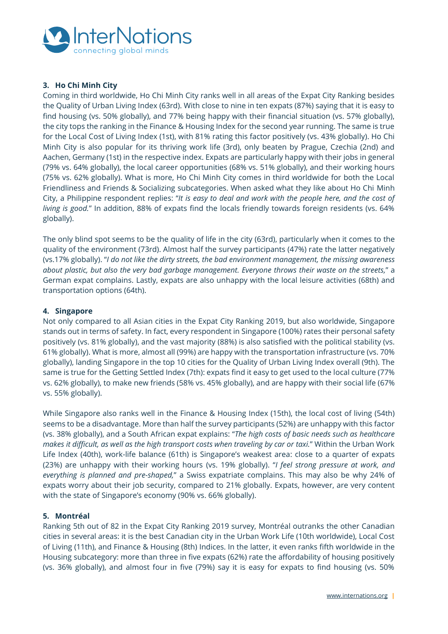

## **3. Ho Chi Minh City**

Coming in third worldwide, Ho Chi Minh City ranks well in all areas of the Expat City Ranking besides the Quality of Urban Living Index (63rd). With close to nine in ten expats (87%) saying that it is easy to find housing (vs. 50% globally), and 77% being happy with their financial situation (vs. 57% globally), the city tops the ranking in the Finance & Housing Index for the second year running. The same is true for the Local Cost of Living Index (1st), with 81% rating this factor positively (vs. 43% globally). Ho Chi Minh City is also popular for its thriving work life (3rd), only beaten by Prague, Czechia (2nd) and Aachen, Germany (1st) in the respective index. Expats are particularly happy with their jobs in general (79% vs. 64% globally), the local career opportunities (68% vs. 51% globally), and their working hours (75% vs. 62% globally). What is more, Ho Chi Minh City comes in third worldwide for both the Local Friendliness and Friends & Socializing subcategories. When asked what they like about Ho Chi Minh City, a Philippine respondent replies: "*It is easy to deal and work with the people here, and the cost of living is good.*" In addition, 88% of expats find the locals friendly towards foreign residents (vs. 64% globally).

The only blind spot seems to be the quality of life in the city (63rd), particularly when it comes to the quality of the environment (73rd). Almost half the survey participants (47%) rate the latter negatively (vs.17% globally). "*I do not like the dirty streets, the bad environment management, the missing awareness about plastic, but also the very bad garbage management. Everyone throws their waste on the streets,*" a German expat complains. Lastly, expats are also unhappy with the local leisure activities (68th) and transportation options (64th).

### **4. Singapore**

Not only compared to all Asian cities in the Expat City Ranking 2019, but also worldwide, Singapore stands out in terms of safety. In fact, every respondent in Singapore (100%) rates their personal safety positively (vs. 81% globally), and the vast majority (88%) is also satisfied with the political stability (vs. 61% globally). What is more, almost all (99%) are happy with the transportation infrastructure (vs. 70% globally), landing Singapore in the top 10 cities for the Quality of Urban Living Index overall (9th). The same is true for the Getting Settled Index (7th): expats find it easy to get used to the local culture (77% vs. 62% globally), to make new friends (58% vs. 45% globally), and are happy with their social life (67% vs. 55% globally).

While Singapore also ranks well in the Finance & Housing Index (15th), the local cost of living (54th) seems to be a disadvantage. More than half the survey participants (52%) are unhappy with this factor (vs. 38% globally), and a South African expat explains: "*The high costs of basic needs such as healthcare makes it difficult, as well as the high transport costs when traveling by car or taxi.*" Within the Urban Work Life Index (40th), work-life balance (61th) is Singapore's weakest area: close to a quarter of expats (23%) are unhappy with their working hours (vs. 19% globally). "*I feel strong pressure at work, and everything is planned and pre-shaped,*" a Swiss expatriate complains. This may also be why 24% of expats worry about their job security, compared to 21% globally. Expats, however, are very content with the state of Singapore's economy (90% vs. 66% globally).

## **5. Montréal**

Ranking 5th out of 82 in the Expat City Ranking 2019 survey, Montréal outranks the other Canadian cities in several areas: it is the best Canadian city in the Urban Work Life (10th worldwide), Local Cost of Living (11th), and Finance & Housing (8th) Indices. In the latter, it even ranks fifth worldwide in the Housing subcategory: more than three in five expats (62%) rate the affordability of housing positively (vs. 36% globally), and almost four in five (79%) say it is easy for expats to find housing (vs. 50%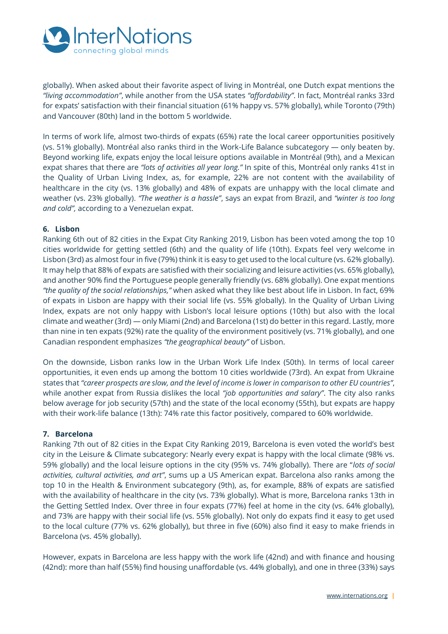

globally). When asked about their favorite aspect of living in Montréal, one Dutch expat mentions the *"living accommodation"*, while another from the USA states *"affordability"*. In fact, Montréal ranks 33rd for expats' satisfaction with their financial situation (61% happy vs. 57% globally), while Toronto (79th) and Vancouver (80th) land in the bottom 5 worldwide.

In terms of work life, almost two-thirds of expats (65%) rate the local career opportunities positively (vs. 51% globally). Montréal also ranks third in the Work-Life Balance subcategory — only beaten by. Beyond working life, expats enjoy the local leisure options available in Montréal (9th), and a Mexican expat shares that there are *"lots of activities all year long."* In spite of this, Montréal only ranks 41st in the Quality of Urban Living Index, as, for example, 22% are not content with the availability of healthcare in the city (vs. 13% globally) and 48% of expats are unhappy with the local climate and weather (vs. 23% globally). *"The weather is a hassle"*, says an expat from Brazil, and *"winter is too long and cold",* according to a Venezuelan expat.

#### **6. Lisbon**

Ranking 6th out of 82 cities in the Expat City Ranking 2019, Lisbon has been voted among the top 10 cities worldwide for getting settled (6th) and the quality of life (10th). Expats feel very welcome in Lisbon (3rd) as almost four in five (79%) think it is easy to get used to the local culture (vs. 62% globally). It may help that 88% of expats are satisfied with their socializing and leisure activities (vs. 65% globally), and another 90% find the Portuguese people generally friendly (vs. 68% globally). One expat mentions *"the quality of the social relationships,"* when asked what they like best about life in Lisbon. In fact, 69% of expats in Lisbon are happy with their social life (vs. 55% globally). In the Quality of Urban Living Index, expats are not only happy with Lisbon's local leisure options (10th) but also with the local climate and weather (3rd) — only Miami (2nd) and Barcelona (1st) do better in this regard. Lastly, more than nine in ten expats (92%) rate the quality of the environment positively (vs. 71% globally), and one Canadian respondent emphasizes *"the geographical beauty"* of Lisbon.

On the downside, Lisbon ranks low in the Urban Work Life Index (50th). In terms of local career opportunities, it even ends up among the bottom 10 cities worldwide (73rd). An expat from Ukraine states that *"career prospects are slow, and the level of income is lower in comparison to other EU countries"*, while another expat from Russia dislikes the local *"job opportunities and salary"*. The city also ranks below average for job security (57th) and the state of the local economy (55th), but expats are happy with their work-life balance (13th): 74% rate this factor positively, compared to 60% worldwide.

#### **7. Barcelona**

Ranking 7th out of 82 cities in the Expat City Ranking 2019, Barcelona is even voted the world's best city in the Leisure & Climate subcategory: Nearly every expat is happy with the local climate (98% vs. 59% globally) and the local leisure options in the city (95% vs. 74% globally). There are "*lots of social activities, cultural activities, and art"*, sums up a US American expat. Barcelona also ranks among the top 10 in the Health & Environment subcategory (9th), as, for example, 88% of expats are satisfied with the availability of healthcare in the city (vs. 73% globally). What is more, Barcelona ranks 13th in the Getting Settled Index. Over three in four expats (77%) feel at home in the city (vs. 64% globally), and 73% are happy with their social life (vs. 55% globally). Not only do expats find it easy to get used to the local culture (77% vs. 62% globally), but three in five (60%) also find it easy to make friends in Barcelona (vs. 45% globally).

However, expats in Barcelona are less happy with the work life (42nd) and with finance and housing (42nd): more than half (55%) find housing unaffordable (vs. 44% globally), and one in three (33%) says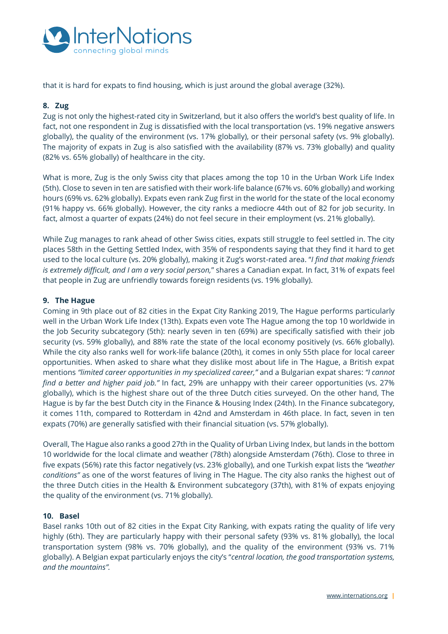

that it is hard for expats to find housing, which is just around the global average (32%).

### **8. Zug**

Zug is not only the highest-rated city in Switzerland, but it also offers the world's best quality of life. In fact, not one respondent in Zug is dissatisfied with the local transportation (vs. 19% negative answers globally), the quality of the environment (vs. 17% globally), or their personal safety (vs. 9% globally). The majority of expats in Zug is also satisfied with the availability (87% vs. 73% globally) and quality (82% vs. 65% globally) of healthcare in the city.

What is more, Zug is the only Swiss city that places among the top 10 in the Urban Work Life Index (5th). Close to seven in ten are satisfied with their work-life balance (67% vs. 60% globally) and working hours (69% vs. 62% globally). Expats even rank Zug first in the world for the state of the local economy (91% happy vs. 66% globally). However, the city ranks a mediocre 44th out of 82 for job security. In fact, almost a quarter of expats (24%) do not feel secure in their employment (vs. 21% globally).

While Zug manages to rank ahead of other Swiss cities, expats still struggle to feel settled in. The city places 58th in the Getting Settled Index, with 35% of respondents saying that they find it hard to get used to the local culture (vs. 20% globally), making it Zug's worst-rated area. "*I find that making friends is extremely difficult, and I am a very social person,*" shares a Canadian expat. In fact, 31% of expats feel that people in Zug are unfriendly towards foreign residents (vs. 19% globally).

### **9. The Hague**

Coming in 9th place out of 82 cities in the Expat City Ranking 2019, The Hague performs particularly well in the Urban Work Life Index (13th). Expats even vote The Hague among the top 10 worldwide in the Job Security subcategory (5th): nearly seven in ten (69%) are specifically satisfied with their job security (vs. 59% globally), and 88% rate the state of the local economy positively (vs. 66% globally). While the city also ranks well for work-life balance (20th), it comes in only 55th place for local career opportunities. When asked to share what they dislike most about life in The Hague, a British expat mentions *"limited career opportunities in my specialized career,"* and a Bulgarian expat shares: *"I cannot find a better and higher paid job."* In fact, 29% are unhappy with their career opportunities (vs. 27% globally), which is the highest share out of the three Dutch cities surveyed. On the other hand, The Hague is by far the best Dutch city in the Finance & Housing Index (24th). In the Finance subcategory, it comes 11th, compared to Rotterdam in 42nd and Amsterdam in 46th place. In fact, seven in ten expats (70%) are generally satisfied with their financial situation (vs. 57% globally).

Overall, The Hague also ranks a good 27th in the Quality of Urban Living Index, but lands in the bottom 10 worldwide for the local climate and weather (78th) alongside Amsterdam (76th). Close to three in five expats (56%) rate this factor negatively (vs. 23% globally), and one Turkish expat lists the *"weather conditions"* as one of the worst features of living in The Hague. The city also ranks the highest out of the three Dutch cities in the Health & Environment subcategory (37th), with 81% of expats enjoying the quality of the environment (vs. 71% globally).

## **10. Basel**

Basel ranks 10th out of 82 cities in the Expat City Ranking, with expats rating the quality of life very highly (6th). They are particularly happy with their personal safety (93% vs. 81% globally), the local transportation system (98% vs. 70% globally), and the quality of the environment (93% vs. 71% globally). A Belgian expat particularly enjoys the city's "*central location, the good transportation systems, and the mountains".*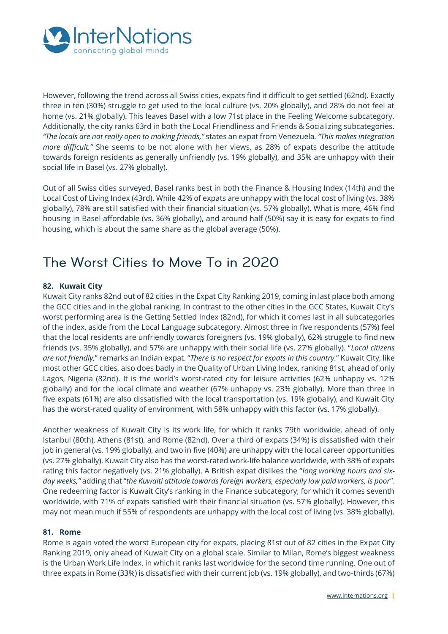

However, following the trend across all Swiss cities, expats find it difficult to get settled (62nd). Exactly three in ten (30%) struggle to get used to the local culture (vs. 20% globally), and 28% do not feel at home (vs. 21% globally). This leaves Basel with a low 71st place in the Feeling Welcome subcategory. Additionally, the city ranks 63rd in both the Local Friendliness and Friends & Socializing subcategories. *"The locals are not really open to making friends,"* states an expat from Venezuela*. "This makes integration more difficult."* She seems to be not alone with her views, as 28% of expats describe the attitude towards foreign residents as generally unfriendly (vs. 19% globally), and 35% are unhappy with their social life in Basel (vs. 27% globally).

Out of all Swiss cities surveyed, Basel ranks best in both the Finance & Housing Index (14th) and the Local Cost of Living Index (43rd). While 42% of expats are unhappy with the local cost of living (vs. 38% globally), 78% are still satisfied with their financial situation (vs. 57% globally). What is more, 46% find housing in Basel affordable (vs. 36% globally), and around half (50%) say it is easy for expats to find housing, which is about the same share as the global average (50%).

# The Worst Cities to Move To in 2020

## **82. Kuwait City**

Kuwait City ranks 82nd out of 82 cities in the Expat City Ranking 2019, coming in last place both among the GCC cities and in the global ranking. In contrast to the other cities in the GCC States, Kuwait City's worst performing area is the Getting Settled Index (82nd), for which it comes last in all subcategories of the index, aside from the Local Language subcategory. Almost three in five respondents (57%) feel that the local residents are unfriendly towards foreigners (vs. 19% globally), 62% struggle to find new friends (vs. 35% globally), and 57% are unhappy with their social life (vs. 27% globally). "*Local citizens are not friendly,*" remarks an Indian expat. "*There is no respect for expats in this country.*" Kuwait City, like most other GCC cities, also does badly in the Quality of Urban Living Index, ranking 81st, ahead of only Lagos, Nigeria (82nd). It is the world's worst-rated city for leisure activities (62% unhappy vs. 12% globally) and for the local climate and weather (67% unhappy vs. 23% globally). More than three in five expats (61%) are also dissatisfied with the local transportation (vs. 19% globally), and Kuwait City has the worst-rated quality of environment, with 58% unhappy with this factor (vs. 17% globally).

Another weakness of Kuwait City is its work life, for which it ranks 79th worldwide, ahead of only Istanbul (80th), Athens (81st), and Rome (82nd). Over a third of expats (34%) is dissatisfied with their job in general (vs. 19% globally), and two in five (40%) are unhappy with the local career opportunities (vs. 27% globally). Kuwait City also has the worst-rated work-life balance worldwide, with 38% of expats rating this factor negatively (vs. 21% globally). A British expat dislikes the "*long working hours and sixday weeks,"* adding that "*the Kuwaiti attitude towards foreign workers, especially low paid workers, is poor*". One redeeming factor is Kuwait City's ranking in the Finance subcategory, for which it comes seventh worldwide, with 71% of expats satisfied with their financial situation (vs. 57% globally). However, this may not mean much if 55% of respondents are unhappy with the local cost of living (vs. 38% globally).

#### **81. Rome**

Rome is again voted the worst European city for expats, placing 81st out of 82 cities in the Expat City Ranking 2019, only ahead of Kuwait City on a global scale. Similar to Milan, Rome's biggest weakness is the Urban Work Life Index, in which it ranks last worldwide for the second time running. One out of three expats in Rome (33%) is dissatisfied with their current job (vs. 19% globally), and two-thirds (67%)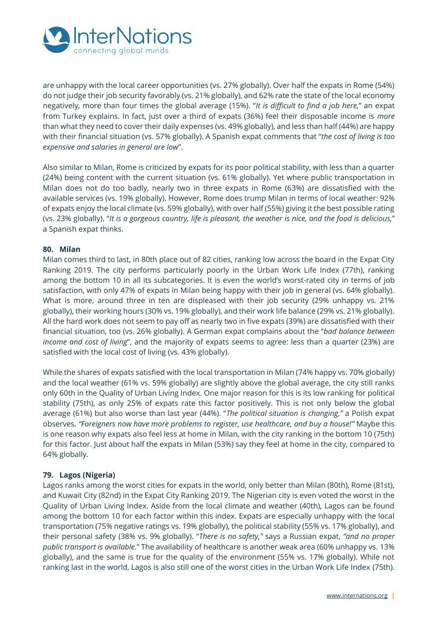

are unhappy with the local career opportunities (vs. 27% globally). Over half the expats in Rome (54%) do not judge their job security favorably (vs. 21% globally), and 62% rate the state of the local economy negatively, more than four times the global average (15%). "*It is difficult to find a job here,*" an expat from Turkey explains. In fact, just over a third of expats (36%) feel their disposable income is *more* than what they need to cover their daily expenses (vs. 49% globally), and less than half (44%) are happy with their financial situation (vs. 57% globally). A Spanish expat comments that "*the cost of living is too expensive and salaries in general are low*".

Also similar to Milan, Rome is criticized by expats for its poor political stability, with less than a quarter (24%) being content with the current situation (vs. 61% globally). Yet where public transportation in Milan does not do too badly, nearly two in three expats in Rome (63%) are dissatisfied with the available services (vs. 19% globally). However, Rome does trump Milan in terms of local weather: 92% of expats enjoy the local climate (vs. 59% globally), with over half (55%) giving it the best possible rating (vs. 23% globally). "*It is a gorgeous country, life is pleasant, the weather is nice, and the food is delicious,*" a Spanish expat thinks.

### **80. Milan**

Milan comes third to last, in 80th place out of 82 cities, ranking low across the board in the Expat City Ranking 2019. The city performs particularly poorly in the Urban Work Life Index (77th), ranking among the bottom 10 in all its subcategories. It is even the world's worst-rated city in terms of job satisfaction, with only 47% of expats in Milan being happy with their job in general (vs. 64% globally). What is more, around three in ten are displeased with their job security (29% unhappy vs. 21% globally), their working hours (30% vs. 19% globally), and their work life balance (29% vs. 21% globally). All the hard work does not seem to pay off as nearly two in five expats (39%) are dissatisfied with their financial situation, too (vs. 26% globally). A German expat complains about the "*bad balance between income and cost of living*", and the majority of expats seems to agree: less than a quarter (23%) are satisfied with the local cost of living (vs. 43% globally).

While the shares of expats satisfied with the local transportation in Milan (74% happy vs. 70% globally) and the local weather (61% vs. 59% globally) are slightly above the global average, the city still ranks only 60th in the Quality of Urban Living Index. One major reason for this is its low ranking for political stability (75th), as only 25% of expats rate this factor positively. This is not only below the global average (61%) but also worse than last year (44%). "*The political situation is changing,"* a Polish expat observes*. "Foreigners now have more problems to register, use healthcare, and buy a house!"* Maybe this is one reason why expats also feel less at home in Milan, with the city ranking in the bottom 10 (75th) for this factor. Just about half the expats in Milan (53%) say they feel at home in the city, compared to 64% globally.

## **79. Lagos (Nigeria)**

Lagos ranks among the worst cities for expats in the world, only better than Milan (80th), Rome (81st), and Kuwait City (82nd) in the Expat City Ranking 2019. The Nigerian city is even voted the worst in the Quality of Urban Living Index. Aside from the local climate and weather (40th), Lagos can be found among the bottom 10 for each factor within this index. Expats are especially unhappy with the local transportation (75% negative ratings vs. 19% globally), the political stability (55% vs. 17% globally), and their personal safety (38% vs. 9% globally). "*There is no safety,"* says a Russian expat, *"and no proper public transport is available.*" The availability of healthcare is another weak area (60% unhappy vs. 13% globally), and the same is true for the quality of the environment (55% vs. 17% globally). While not ranking last in the world, Lagos is also still one of the worst cities in the Urban Work Life Index (75th).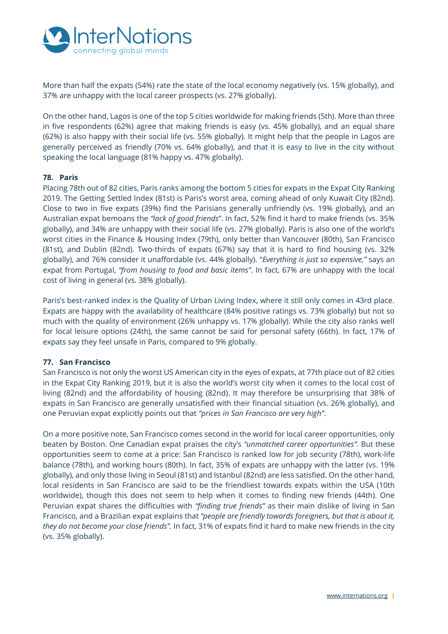

More than half the expats (54%) rate the state of the local economy negatively (vs. 15% globally), and 37% are unhappy with the local career prospects (vs. 27% globally).

On the other hand, Lagos is one of the top 5 cities worldwide for making friends (5th). More than three in five respondents (62%) agree that making friends is easy (vs. 45% globally), and an equal share (62%) is also happy with their social life (vs. 55% globally). It might help that the people in Lagos are generally perceived as friendly (70% vs. 64% globally), and that it is easy to live in the city without speaking the local language (81% happy vs. 47% globally).

#### **78. Paris**

Placing 78th out of 82 cities, Paris ranks among the bottom 5 cities for expats in the Expat City Ranking 2019. The Getting Settled Index (81st) is Paris's worst area, coming ahead of only Kuwait City (82nd). Close to two in five expats (39%) find the Parisians generally unfriendly (vs. 19% globally), and an Australian expat bemoans the *"lack of good friends*". In fact, 52% find it hard to make friends (vs. 35% globally), and 34% are unhappy with their social life (vs. 27% globally). Paris is also one of the world's worst cities in the Finance & Housing Index (79th), only better than Vancouver (80th), San Francisco (81st), and Dublin (82nd). Two-thirds of expats (67%) say that it is hard to find housing (vs. 32% globally), and 76% consider it unaffordable (vs. 44% globally). "*Everything is just so expensive,"* says an expat from Portugal, *"from housing to food and basic items"*. In fact, 67% are unhappy with the local cost of living in general (vs. 38% globally).

Paris's best-ranked index is the Quality of Urban Living Index, where it still only comes in 43rd place. Expats are happy with the availability of healthcare (84% positive ratings vs. 73% globally) but not so much with the quality of environment (26% unhappy vs. 17% globally). While the city also ranks well for local leisure options (24th), the same cannot be said for personal safety (66th). In fact, 17% of expats say they feel unsafe in Paris, compared to 9% globally.

#### **77. San Francisco**

San Francisco is not only the worst US American city in the eyes of expats, at 77th place out of 82 cities in the Expat City Ranking 2019, but it is also the world's worst city when it comes to the local cost of living (82nd) and the affordability of housing (82nd). It may therefore be unsurprising that 38% of expats in San Francisco are generally unsatisfied with their financial situation (vs. 26% globally), and one Peruvian expat explicitly points out that *"prices in San Francisco are very high"*.

On a more positive note, San Francisco comes second in the world for local career opportunities, only beaten by Boston. One Canadian expat praises the city's *"unmatched career opportunities".* But these opportunities seem to come at a price: San Francisco is ranked low for job security (78th), work-life balance (78th), and working hours (80th). In fact, 35% of expats are unhappy with the latter (vs. 19% globally), and only those living in Seoul (81st) and Istanbul (82nd) are less satisfied. On the other hand, local residents in San Francisco are said to be the friendliest towards expats within the USA (10th worldwide), though this does not seem to help when it comes to finding new friends (44th). One Peruvian expat shares the difficulties with *"finding true friends"* as their main dislike of living in San Francisco, and a Brazilian expat explains that *"people are friendly towards foreigners, but that is about it, they do not become your close friends".* In fact, 31% of expats find it hard to make new friends in the city (vs. 35% globally).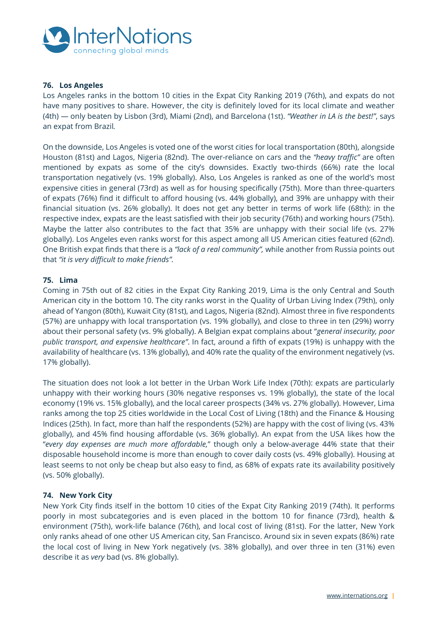

### **76. Los Angeles**

Los Angeles ranks in the bottom 10 cities in the Expat City Ranking 2019 (76th), and expats do not have many positives to share. However, the city is definitely loved for its local climate and weather (4th) — only beaten by Lisbon (3rd), Miami (2nd), and Barcelona (1st). *"Weather in LA is the best!"*, says an expat from Brazil*.* 

On the downside, Los Angeles is voted one of the worst cities for local transportation (80th), alongside Houston (81st) and Lagos, Nigeria (82nd). The over-reliance on cars and the *"heavy traffic"* are often mentioned by expats as some of the city's downsides. Exactly two-thirds (66%) rate the local transportation negatively (vs. 19% globally). Also, Los Angeles is ranked as one of the world's most expensive cities in general (73rd) as well as for housing specifically (75th). More than three-quarters of expats (76%) find it difficult to afford housing (vs. 44% globally), and 39% are unhappy with their financial situation (vs. 26% globally). It does not get any better in terms of work life (68th): in the respective index, expats are the least satisfied with their job security (76th) and working hours (75th). Maybe the latter also contributes to the fact that 35% are unhappy with their social life (vs. 27% globally). Los Angeles even ranks worst for this aspect among all US American cities featured (62nd). One British expat finds that there is a *"lack of a real community",* while another from Russia points out that *"it is very difficult to make friends".* 

#### **75. Lima**

Coming in 75th out of 82 cities in the Expat City Ranking 2019, Lima is the only Central and South American city in the bottom 10. The city ranks worst in the Quality of Urban Living Index (79th), only ahead of Yangon (80th), Kuwait City (81st), and Lagos, Nigeria (82nd). Almost three in five respondents (57%) are unhappy with local transportation (vs. 19% globally), and close to three in ten (29%) worry about their personal safety (vs. 9% globally). A Belgian expat complains about "*general insecurity, poor public transport, and expensive healthcare"*. In fact, around a fifth of expats (19%) is unhappy with the availability of healthcare (vs. 13% globally), and 40% rate the quality of the environment negatively (vs. 17% globally).

The situation does not look a lot better in the Urban Work Life Index (70th): expats are particularly unhappy with their working hours (30% negative responses vs. 19% globally), the state of the local economy (19% vs. 15% globally), and the local career prospects (34% vs. 27% globally). However, Lima ranks among the top 25 cities worldwide in the Local Cost of Living (18th) and the Finance & Housing Indices (25th). In fact, more than half the respondents (52%) are happy with the cost of living (vs. 43% globally), and 45% find housing affordable (vs. 36% globally). An expat from the USA likes how the "*every day expenses are much more affordable,*" though only a below-average 44% state that their disposable household income is more than enough to cover daily costs (vs. 49% globally). Housing at least seems to not only be cheap but also easy to find, as 68% of expats rate its availability positively (vs. 50% globally).

#### **74. New York City**

New York City finds itself in the bottom 10 cities of the Expat City Ranking 2019 (74th). It performs poorly in most subcategories and is even placed in the bottom 10 for finance (73rd), health & environment (75th), work-life balance (76th), and local cost of living (81st). For the latter, New York only ranks ahead of one other US American city, San Francisco. Around six in seven expats (86%) rate the local cost of living in New York negatively (vs. 38% globally), and over three in ten (31%) even describe it as *very* bad (vs. 8% globally).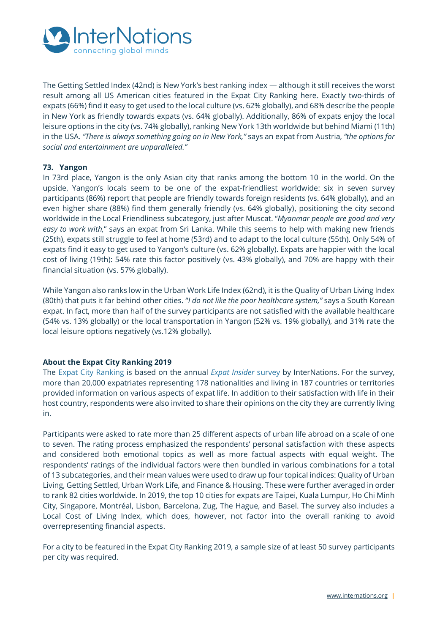

The Getting Settled Index (42nd) is New York's best ranking index — although it still receives the worst result among all US American cities featured in the Expat City Ranking here. Exactly two-thirds of expats (66%) find it easy to get used to the local culture (vs. 62% globally), and 68% describe the people in New York as friendly towards expats (vs. 64% globally). Additionally, 86% of expats enjoy the local leisure options in the city (vs. 74% globally), ranking New York 13th worldwide but behind Miami (11th) in the USA. *"There is always something going on in New York,"* says an expat from Austria, *"the options for social and entertainment are unparalleled."* 

## **73. Yangon**

In 73rd place, Yangon is the only Asian city that ranks among the bottom 10 in the world. On the upside, Yangon's locals seem to be one of the expat-friendliest worldwide: six in seven survey participants (86%) report that people are friendly towards foreign residents (vs. 64% globally), and an even higher share (88%) find them generally friendly (vs. 64% globally), positioning the city second worldwide in the Local Friendliness subcategory, just after Muscat. "*Myanmar people are good and very easy to work with,*" says an expat from Sri Lanka. While this seems to help with making new friends (25th), expats still struggle to feel at home (53rd) and to adapt to the local culture (55th). Only 54% of expats find it easy to get used to Yangon's culture (vs. 62% globally). Expats are happier with the local cost of living (19th): 54% rate this factor positively (vs. 43% globally), and 70% are happy with their financial situation (vs. 57% globally).

While Yangon also ranks low in the Urban Work Life Index (62nd), it is the Quality of Urban Living Index (80th) that puts it far behind other cities. "*I do not like the poor healthcare system,"* says a South Korean expat. In fact, more than half of the survey participants are not satisfied with the available healthcare (54% vs. 13% globally) or the local transportation in Yangon (52% vs. 19% globally), and 31% rate the local leisure options negatively (vs.12% globally).

## **About the Expat City Ranking 2019**

The [Expat City Ranking](https://www.internations.org/expat-insider/2019/the-best-and-worst-cities-for-expats-39894) is based on the annual *[Expat Insider](https://www.internations.org/expat-insider/)* survey by InterNations. For the survey, more than 20,000 expatriates representing 178 nationalities and living in 187 countries or territories provided information on various aspects of expat life. In addition to their satisfaction with life in their host country, respondents were also invited to share their opinions on the city they are currently living in.

Participants were asked to rate more than 25 different aspects of urban life abroad on a scale of one to seven. The rating process emphasized the respondents' personal satisfaction with these aspects and considered both emotional topics as well as more factual aspects with equal weight. The respondents' ratings of the individual factors were then bundled in various combinations for a total of 13 subcategories, and their mean values were used to draw up four topical indices: Quality of Urban Living, Getting Settled, Urban Work Life, and Finance & Housing. These were further averaged in order to rank 82 cities worldwide. In 2019, the top 10 cities for expats are Taipei, Kuala Lumpur, Ho Chi Minh City, Singapore, Montréal, Lisbon, Barcelona, Zug, The Hague, and Basel. The survey also includes a Local Cost of Living Index, which does, however, not factor into the overall ranking to avoid overrepresenting financial aspects.

For a city to be featured in the Expat City Ranking 2019, a sample size of at least 50 survey participants per city was required.